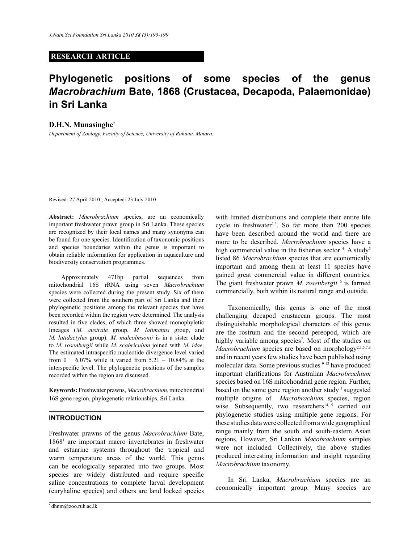# **RESEARCH ARTICLE**

# **Phylogenetic positions of some species of the genus**  *Macrobrachium* **Bate, 1868 (Crustacea, Decapoda, Palaemonidae) in Sri Lanka**

#### **D.H.N. Munasinghe\***

*Department of Zoology, Faculty of Science, University of Ruhuna, Matara.*

Revised: 27 April 2010 ; Accepted: 23 July 2010

**Abstract:** *Macrobrachium* species, are an economically important freshwater prawn group in Sri Lanka. These species are recognized by their local names and many synonyms can be found for one species. Identification of taxonomic positions and species boundaries within the genus is important to obtain reliable information for application in aquaculture and biodiversity conservation programmes.

 Approximately 471bp partial sequences from mitochondrial 16S rRNA using seven *Macrobrachium* species were collected during the present study. Six of them were collected from the southern part of Sri Lanka and their phylogenetic positions among the relevant species that have been recorded within the region were determined. The analysis resulted in five clades, of which three showed monophyletic lineages (*M. australe* group, *M. latimanus* group, and *M. latidactylus* group). *M. malcolmsonii* is in a sister clade to *M. rosenbergii* while *M. scabriculum* joined with *M. idae*. The estimated intraspecific nucleotide divergence level varied from  $0 - 6.07\%$  while it varied from  $5.21 - 10.84\%$  at the interspecific level. The phylogenetic positions of the samples recorded within the region are discussed.

**Keywords:** Freshwater prawns, *Macrobrachium*, mitochondrial 16S gene region, phylogenetic relationships, Sri Lanka.

## **INTRODUCTION**

Freshwater prawns of the genus *Macrobrachium* Bate, 1868<sup>1</sup> are important macro invertebrates in freshwater and estuarine systems throughout the tropical and warm temperature areas of the world. This genus can be ecologically separated into two groups. Most species are widely distributed and require specific saline concentrations to complete larval development (euryhaline species) and others are land locked species

with limited distributions and complete their entire life cycle in freshwater<sup>2,3</sup>. So far more than 200 species have been described around the world and there are more to be described. *Macrobrachium* species have a high commercial value in the fisheries sector 4. A study<sup>5</sup> listed 86 *Macrobrachium* species that are economically important and among them at least 11 species have gained great commercial value in different countries. The giant freshwater prawn *M. rosenbergii* <sup>6</sup> is farmed commercially, both within its natural range and outside.

 Taxonomically, this genus is one of the most challenging decapod crustacean groups. The most distinguishable morphological characters of this genus are the rostrum and the second pereopod, which are highly variable among species<sup>7</sup>. Most of the studies on *Macrobrachium* species are based on morphology<sup>2,3,5,7,8</sup> and in recent years few studies have been published using molecular data. Some previous studies 9-12 have produced important clarifications for Australian *Macrobrachium* species based on 16S mitochondrial gene region. Further, based on the same gene region another study <sup>3</sup> suggested multiple origins of *Macrobrachium* species, region wise. Subsequently, two researchers<sup>14,15</sup> carried out phylogenetic studies using multiple gene regions. For these studies data were collected from a wide geographical range mainly from the south and south-eastern Asian regions. However, Sri Lankan *Macobrachium* samples were not included. Collectively, the above studies produced interesting information and insight regarding *Macrobrachium* taxonomy.

 In Sri Lanka, *Macrobrachium* species are an economically important group. Many species are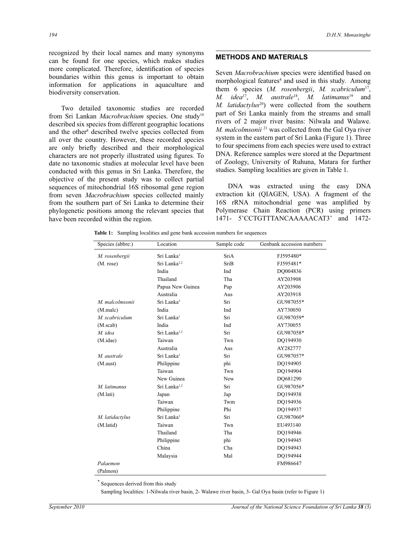recognized by their local names and many synonyms can be found for one species, which makes studies more complicated. Therefore, identification of species boundaries within this genus is important to obtain information for applications in aquaculture and biodiversity conservation.

 Two detailed taxonomic studies are recorded from Sri Lankan *Macrobrachium* species. One study<sup>16</sup> described six species from different geographic locations and the other<sup>8</sup> described twelve species collected from all over the country. However, these recorded species are only briefly described and their morphological characters are not properly illustrated using figures. To date no taxonomic studies at molecular level have been conducted with this genus in Sri Lanka. Therefore, the objective of the present study was to collect partial sequences of mitochondrial 16S ribosomal gene region from seven *Macrobrachium* species collected mainly from the southern part of Sri Lanka to determine their phylogenetic positions among the relevant species that have been recorded within the region.

## **METHODS AND MATERIALS**

Seven *Macrobrachium* species were identified based on morphological features<sup>4</sup> and used in this study. Among them 6 species (*M. rosenbergii*, *M. scabriculum*<sup>17</sup> , *M. idea*<sup>17</sup> , *M. australe*<sup>18</sup> , *M. latimanus*<sup>19</sup> and *M. latidactylus*<sup>20</sup>) were collected from the southern part of Sri Lanka mainly from the streams and small rivers of 2 major river basins: Nilwala and Walawe. *M. malcolmsonii*<sup>21</sup> was collected from the Gal Oya river system in the eastern part of Sri Lanka (Figure 1). Three to four specimens from each species were used to extract DNA. Reference samples were stored at the Department of Zoology, University of Ruhuna, Matara for further studies. Sampling localities are given in Table 1.

 DNA was extracted using the easy DNA extraction kit (QIAGEN, USA). A fragment of the 16S rRNA mitochondrial gene was amplified by Polymerase Chain Reaction (PCR) using primers 1471- 5'CCTGTTTANCAAAAACAT3' and 1472-

**Table 1:** Sampling localities and gene bank accession numbers for sequences

| Species (abbre:) | Location                 | Sample code | Genbank accession numbers |
|------------------|--------------------------|-------------|---------------------------|
| M. rosenbergii   | Sri Lanka <sup>1</sup>   | SriA        | FJ595480*                 |
| (M. rose)        | Sri Lanka <sup>1,2</sup> | SriB        | FJ595481*                 |
|                  | India                    | Ind         | DQ004836                  |
|                  | Thailand                 | Tha         | AY203908                  |
|                  | Papua New Guinea         | Pap         | AY203906                  |
|                  | Australia                | Aus         | AY203918                  |
| M. malcolmsonii  | Sri Lanka <sup>3</sup>   | Sri         | GU987055*                 |
| (M.malc)         | India                    | Ind         | AY730050                  |
| M. scabriculum   | Sri Lanka <sup>1</sup>   | Sri         | GU987059*                 |
| (M.scab)         | India                    | Ind         | AY730055                  |
| M. idea          | Sri Lanka <sup>1,2</sup> | Sri         | GU987058*                 |
| (M.idae)         | Taiwan                   | Twn         | DQ194930                  |
|                  | Australia                | Aus         | AY282777                  |
| M. australe      | Sri Lanka <sup>1</sup>   | Sri         | GU987057*                 |
| (M.aust)         | Philippine               | phi         | DQ194905                  |
|                  | Taiwan                   | Twn         | DO194904                  |
|                  | New Guinea               | <b>New</b>  | DO681290                  |
| M. latimanus     | Sri Lanka <sup>1,2</sup> | Sri         | GU987056*                 |
| (M.lati)         | Japan                    | Jap         | DQ194938                  |
|                  | Taiwan                   | Twm         | DO194936                  |
|                  | Philippine               | Phi         | DO194937                  |
| M. latidactylus  | Sri Lanka <sup>1</sup>   | Sri         | GU987060*                 |
| (M.latid)        | Taiwan                   | Twn         | EU493140                  |
|                  | Thailand                 | Tha         | DQ194946                  |
|                  | Philippine               | phi         | DO194945                  |
|                  | China                    | Cha         | DO194943                  |
|                  | Malaysia                 | Mal         | DO194944                  |
| Palaemon         |                          |             | FM986647                  |
| (Palmon)         |                          |             |                           |

Sequences derived from this study

Sampling localities: 1-Nilwala river basin, 2- Walawe river basin, 3- Gal Oya basin (refer to Figure 1)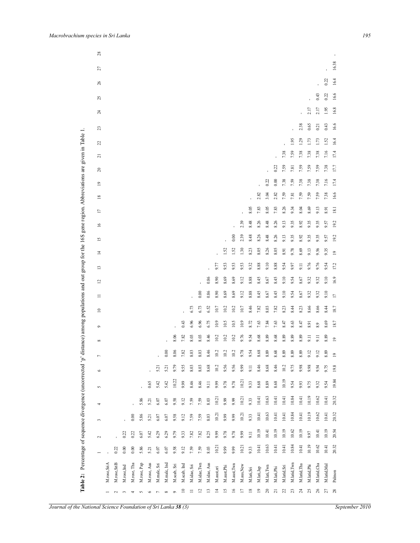| $0.00\,$<br>7.16<br>0.22<br>7.38<br>7.59<br>$7.38$<br>$7.38$<br>7.38<br>17.4<br>$\overline{0}$<br>2.82<br>16.6<br>3.04<br>7.59<br>7.59<br>7.59<br>7.59<br>7.38<br>2.82<br>7.81<br>$\overline{18}$<br>8.05<br>7.83<br>8.05<br>7.83<br>8.26<br>9.34<br>8.04<br>8.69<br>9.13<br>18.1<br>8.91<br>$\overline{17}$<br>2.39<br>8.48<br>8.26<br>8.48<br>8.26<br>9.35<br>9.35<br>9.35<br>19.2<br>9.13<br>8.92<br>9.57<br>$\approx$<br>0.00<br>2.39<br>8.48<br>8.26<br>8.48<br>8.26<br>9.13<br>9.35<br>9.35<br>9.35<br>19.2<br>8.92<br>9.57<br>51<br>9.35<br>1.52<br>1.52<br>1.30<br>8.23<br>8.05<br>8.26<br>8.05<br>9.78<br>8.69<br>9.13<br>9.56<br>8.91<br>$\overline{4}$<br>$\overline{19}$<br>9.77<br>9.53<br>9.10<br>9.53<br>9.53<br>9.32<br>8.88<br>8.88<br>9.54<br>9.97<br>9.76<br>9.76<br>9.54<br>17.2<br>9.11<br>$\overline{13}$<br>0.86<br>8.90<br>8.69<br>8.69<br>9.12<br>8.88<br>8.45<br>8.67<br>8.45<br>9.10<br>9.54<br>9.32<br>9.32<br>9.10<br>16.9<br>8.67<br>$\overline{c}$<br>0.00<br>0.86<br>8.69<br>8.88<br>8.45<br>8.45<br>9.10<br>9.10<br>8.90<br>8.69<br>9.12<br>8.67<br>9.54<br>8.67<br>9.32<br>9.32<br>$\Box$<br>$\equiv$ | 2.38<br>0.65<br>16.6<br>0.43<br>0.21<br>23<br>1.95<br>1.29<br>16.4<br>1.73<br>1.73<br>1.52<br>22<br>7.38<br>7.59<br>7.16<br>17.4<br>7.38<br>7.38<br>7.38<br>$\overline{z}$<br>0.22<br>7.59<br>7.59<br>7.38<br>17.7<br>7.59<br>7.59<br>7.81<br>20 |
|-----------------------------------------------------------------------------------------------------------------------------------------------------------------------------------------------------------------------------------------------------------------------------------------------------------------------------------------------------------------------------------------------------------------------------------------------------------------------------------------------------------------------------------------------------------------------------------------------------------------------------------------------------------------------------------------------------------------------------------------------------------------------------------------------------------------------------------------------------------------------------------------------------------------------------------------------------------------------------------------------------------------------------------------------------------------------------------------------------------------------------------------|--------------------------------------------------------------------------------------------------------------------------------------------------------------------------------------------------------------------------------------------------|
|                                                                                                                                                                                                                                                                                                                                                                                                                                                                                                                                                                                                                                                                                                                                                                                                                                                                                                                                                                                                                                                                                                                                         |                                                                                                                                                                                                                                                  |
|                                                                                                                                                                                                                                                                                                                                                                                                                                                                                                                                                                                                                                                                                                                                                                                                                                                                                                                                                                                                                                                                                                                                         |                                                                                                                                                                                                                                                  |
|                                                                                                                                                                                                                                                                                                                                                                                                                                                                                                                                                                                                                                                                                                                                                                                                                                                                                                                                                                                                                                                                                                                                         |                                                                                                                                                                                                                                                  |
|                                                                                                                                                                                                                                                                                                                                                                                                                                                                                                                                                                                                                                                                                                                                                                                                                                                                                                                                                                                                                                                                                                                                         |                                                                                                                                                                                                                                                  |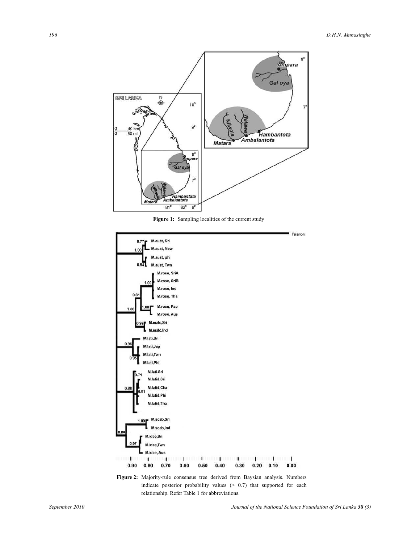

Figure 1: Sampling localities of the current study



relationship. Refer Table 1 for abbreviations.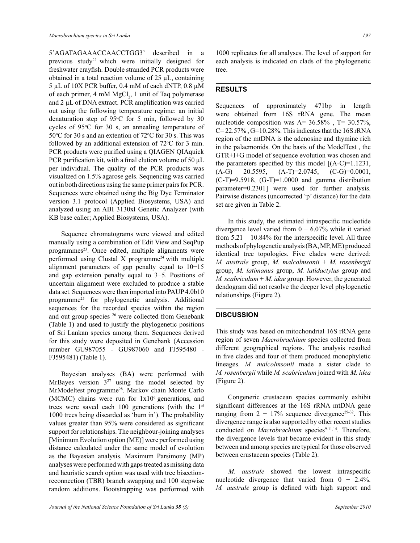5'AGATAGAAACCAACCTGG3' described in a previous study<sup>22</sup> which were initially designed for freshwater crayfish. Double stranded PCR products were obtained in a total reaction volume of  $25 \mu L$ , containing 5 µL of 10X PCR buffer, 0.4 mM of each dNTP, 0.8 µM of each primer,  $4 \text{ mM } MgCl_2$ , 1 unit of Taq polymerase and 2 µL of DNA extract. PCR amplification was carried out using the following temperature regime: an initial denaturation step of  $95^{\circ}$ C for 5 min, followed by 30 cycles of  $95^{\circ}$ C for 30 s, an annealing temperature of 50 $\degree$ C for 30 s and an extention of 72 $\degree$ C for 30 s. This was followed by an additional extension of  $72^{\circ}$ C for 3 min. PCR products were purified using a QIAGEN QIAquick PCR purification kit, with a final elution volume of 50  $\mu$ L per individual. The quality of the PCR products was visualized on 1.5% agarose gels. Sequencing was carried out in both directions using the same primer pairs for PCR. Sequences were obtained using the Big Dye Terminator version 3.1 protocol (Applied Biosystems, USA) and analyzed using an ABI 3130xl Genetic Analyzer (with KB base caller; Applied Biosystems, USA).

 Sequence chromatograms were viewed and edited manually using a combination of Edit View and SeqPup programmes<sup>23</sup>. Once edited, multiple alignments were performed using Clustal  $X$  programme<sup>24</sup> with multiple alignment parameters of gap penalty equal to 10−15 and gap extension penalty equal to 3−5. Positions of uncertain alignment were excluded to produce a stable data set. Sequences were then imported into PAUP 4.0b10 programme<sup>25</sup> for phylogenetic analysis. Additional sequences for the recorded species within the region and out group species <sup>26</sup> were collected from Genebank (Table 1) and used to justify the phylogenetic positions of Sri Lankan species among them. Sequences derived for this study were deposited in Genebank (Accession number GU987055 - GU987060 and FJ595480 - FJ595481) (Table 1).

 Bayesian analyses (BA) were performed with MrBayes version  $3^{27}$  using the model selected by MrModeltest programme<sup>28</sup>. Markov chain Monte Carlo (MCMC) chains were run for  $1x10<sup>6</sup>$  generations, and trees were saved each 100 generations (with the  $1<sup>st</sup>$ 1000 trees being discarded as 'burn in'). The probability values greater than 95% were considered as significant support for relationships. The neighbour-joining analyses [Minimum Evolution option (ME)] were performed using distance calculated under the same model of evolution as the Bayesian analysis. Maximum Parsimony (MP) analyses were performed with gaps treated as missing data and heuristic search option was used with tree bisectionreconnection (TBR) branch swapping and 100 stepwise random additions. Bootstrapping was performed with

1000 replicates for all analyses. The level of support for each analysis is indicated on clads of the phylogenetic tree.

#### **RESULTS**

Sequences of approximately 471bp in length were obtained from 16S rRNA gene. The mean nucleotide composition was  $A = 36.58\%$ ,  $T = 30.57\%$ ,  $C= 22.57\%$ ,  $G=10.28\%$ . This indicates that the 16S rRNA region of the mtDNA is the adenosine and thymine rich in the palaemonids. On the basis of the ModelTest , the GTR+I+G model of sequence evolution was chosen and the parameters specified by this model  $[(A-C)=1.1231]$ ,  $(A-G)$  20.5595,  $(A-T)=2.0745$ ,  $(C-G)=0.0001$ ,  $(C-T)=9.5918$ ,  $(G-T)=1.0000$  and gamma distribution parameter=0.2301] were used for further analysis. Pairwise distances (uncorrected 'p' distance) for the data set are given in Table 2.

 In this study, the estimated intraspecific nucleotide divergence level varied from 0 − 6.07% while it varied from  $5.21 - 10.84\%$  for the interspecific level. All three methods of phylogenetic analysis (BA, MP, ME) produced identical tree topologies. Five clades were derived: *M. australe* group, *M. malcolmsonii* + *M. rosenbergii* group, *M. latimanus* group, *M. latidactylus* group and *M. scabriculum* + *M. idae* group. However, the generated dendogram did not resolve the deeper level phylogenetic relationships (Figure 2).

## **DISCUSSION**

This study was based on mitochondrial 16S rRNA gene region of seven *Macrobrachium* species collected from different geographical regions. The analysis resulted in five clades and four of them produced monophyletic lineages. *M. malcolmsonii* made a sister clade to *M. rosenbergii* while *M. scabriculum* joined with *M. idea*  (Figure 2).

 Congeneric crustacean species commonly exhibit significant differences at the 16S rRNA mtDNA gene ranging from  $2 - 17\%$  sequence divergence<sup>29-32</sup>. This divergence range is also supported by other recent studies conducted on *Macrobrachium* species<sup>9-11,14</sup>. Therefore, the divergence levels that became evident in this study between and among species are typical for those observed between crustacean species (Table 2).

 *M. australe* showed the lowest intraspecific nucleotide divergence that varied from  $0 - 2.4\%$ . *M. australe* group is defined with high support and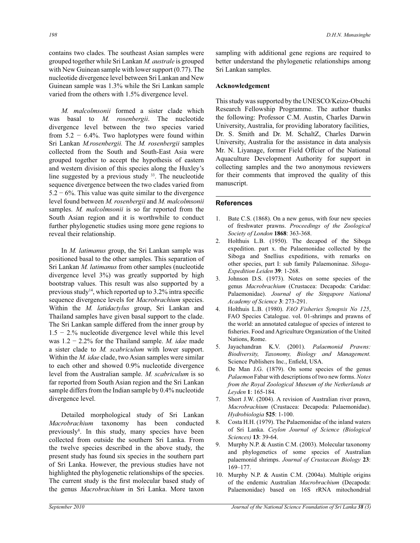contains two clades. The southeast Asian samples were grouped together while Sri Lankan *M. australe* is grouped with New Guinean sample with lower support  $(0.77)$ . The nucleotide divergence level between Sri Lankan and New Guinean sample was 1.3% while the Sri Lankan sample varied from the others with 1.5% divergence level.

 *M. malcolmsonii* formed a sister clade which was basal to *M. rosenbergii*. The nucleotide divergence level between the two species varied from  $5.2 - 6.4\%$ . Two haplotypes were found within Sri Lankan *M.rosenbergii.* The *M. rosenbergii* samples collected from the South and South-East Asia were grouped together to accept the hypothesis of eastern and western division of this species along the Huxley's line suggested by a previous study <sup>33</sup>. The neucleotide sequence divergence between the two clades varied from  $5.2 - 6\%$ . This value was quite similar to the divergence level found between *M. rosenbergii* and *M. malcolmsonii* samples. *M. malcolmsonii* is so far reported from the South Asian region and it is worthwhile to conduct further phylogenetic studies using more gene regions to reveal their relationship.

 In *M. latimanus* group, the Sri Lankan sample was positioned basal to the other samples. This separation of Sri Lankan *M. latimanus* from other samples (nucleotide divergence level 3%) was greatly supported by high bootstrap values. This result was also supported by a previous study<sup>14</sup>, which reported up to 3.2% intra specific sequence divergence levels for *Macrobrachium* species. Within the *M. latidactylus* group, Sri Lankan and Thailand samples have given basal support to the clade. The Sri Lankan sample differed from the inner group by 1.5 − 2.% nucleotide divergence level while this level was 1.2 − 2.2% for the Thailand sample. *M. idae* made a sister clade to *M. scabriculum* with lower support. Within the *M. idae* clade, two Asian samples were similar to each other and showed 0.9% nucleotide divergence level from the Australian sample. *M. scabriculum* is so far reported from South Asian region and the Sri Lankan sample differs from the Indian sample by 0.4% nucleotide divergence level.

 Detailed morphological study of Sri Lankan *Macrobrachium* taxonomy has been conducted previously<sup>8</sup> . In this study, many species have been collected from outside the southern Sri Lanka. From the twelve species described in the above study, the present study has found six species in the southern part of Sri Lanka. However, the previous studies have not highlighted the phylogenetic relationships of the species. The current study is the first molecular based study of the genus *Macrobrachium* in Sri Lanka. More taxon

sampling with additional gene regions are required to better understand the phylogenetic relationships among Sri Lankan samples.

#### **Acknowledgement**

This study was supported by the UNESCO/Keizo-Obuchi Research Fellowship Programme. The author thanks the following: Professor C.M. Austin, Charles Darwin University, Australia, for providing laboratory facilities, Dr. S. Smith and Dr. M. SchaltZ, Charles Darwin University, Australia for the assistance in data analysis Mr. N. Liyanage, former Field Offcier of the National Aquaculture Development Authority for support in collecting samples and the two anonymous reviewers for their comments that improved the quality of this manuscript.

## **References**

- 1. Bate C.S. (1868). On a new genus, with four new species of freshwater prawns. *Proceedings of the Zoological Society of London* **1868**: 363-368.
- 2. Holthuis L.B. (1950). The decapod of the Siboga expedition. part x. the Palaemonidae collected by the Siboga and Snellius expeditions, with remarks on other species, part I: sub family Palaemoninae. *Siboga-Expedition Leiden* **39**: 1-268.
- 3. Johnson D.S. (1973). Notes on some species of the genus *Macrobrachium* (Crustacea: Decapoda: Caridae: Palaemonidae). *Journal of the Singapore National Academy of Science* **3**: 273-291.
- 4. Holthuis L.B. (1980). *FAO Fisheries Synopsis No 125*, FAO Species Catalogue. vol. 01-shrimps and prawns of the world: an annotated catalogue of species of interest to fisheries. Food and Agriculture Organization of the United Nations, Rome.
- 5. Jayachandran K.V. (2001). *Palaemonid Prawns: Biodiversity, Taxonomy, Biology and Management.* Science Publishers Inc., Enfield, USA.
- 6. De Man J.G. (1879). On some species of the genus *Palaemon* Fabar with descriptions of two new forms. *Notes from the Royal Zoological Museum of the Netherlands at Leyden* **1**: 165-184.
- 7. Short J.W. (2004). A revision of Australian river prawn, *Macrobrachium* (Crustacea: Decapoda: Palaemonidae). *Hydrobiologia* **525**: 1-100.
- 8. Costa H.H. (1979). The Palaemonidae of the inland waters of Sri Lanka. *Ceylon Journal of Science (Biological Sciences)* **13**: 39-64.
- 9. Murphy N.P. & Austin C.M. (2003). Molecular taxonomy and phylogenetics of some species of Australian palaemonid shrimps. *Journal of Crustacean Biology* **23**: 169–177.
- 10. Murphy N.P. & Austin C.M. (2004a). Multiple origins of the endemic Australian *Macrobrachium* (Decapoda: Palaemonidae) based on 16S rRNA mitochondrial